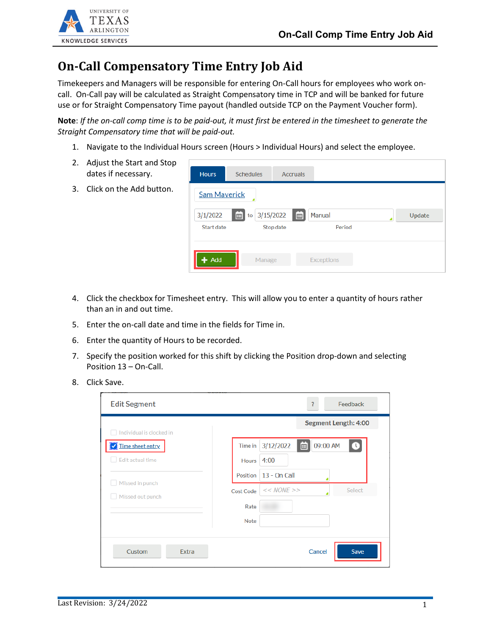

## **On-Call Compensatory Time Entry Job Aid**

Timekeepers and Managers will be responsible for entering On-Call hours for employees who work oncall. On-Call pay will be calculated as Straight Compensatory time in TCP and will be banked for future use or for Straight Compensatory Time payout (handled outside TCP on the Payment Voucher form).

**Note**: *If the on-call comp time is to be paid-out, it must first be entered in the timesheet to generate the Straight Compensatory time that will be paid-out.*

1. Navigate to the Individual Hours screen (Hours > Individual Hours) and select the employee.

| Adjust the Start and Stop<br>2.<br>dates if necessary. | <b>Hours</b>      | <b>Schedules</b>                           | <b>Accruals</b> |                   |  |  |  |  |  |
|--------------------------------------------------------|-------------------|--------------------------------------------|-----------------|-------------------|--|--|--|--|--|
| Click on the Add button.<br>3.                         |                   | <b>Sam Maverick</b>                        |                 |                   |  |  |  |  |  |
|                                                        | 3/1/2022          | 3/15/2022<br>画<br>$\boxed{m}$ to<br>Manual |                 |                   |  |  |  |  |  |
|                                                        | <b>Start date</b> |                                            | Stop date       | Period            |  |  |  |  |  |
|                                                        | Add               | Manage                                     |                 | <b>Exceptions</b> |  |  |  |  |  |

- 4. Click the checkbox for Timesheet entry. This will allow you to enter a quantity of hours rather than an in and out time.
- 5. Enter the on-call date and time in the fields for Time in.
- 6. Enter the quantity of Hours to be recorded.
- 7. Specify the position worked for this shift by clicking the Position drop-down and selecting Position 13 – On-Call.
- 8. Click Save.

| <b>Edit Segment</b>      | Feedback<br>?                                                                                                                                                             |  |  |  |  |  |  |
|--------------------------|---------------------------------------------------------------------------------------------------------------------------------------------------------------------------|--|--|--|--|--|--|
| Individual is clocked in | Segment Length: 4:00                                                                                                                                                      |  |  |  |  |  |  |
| Time sheet entry         | $\begin{array}{c} \begin{array}{c} \text{ } \\ \text{ } \\ \text{ } \\ \text{ } \\ \end{array} \end{array}$<br>09:00 AM<br>3/12/2022<br>Time in<br>$\left( \iota \right)$ |  |  |  |  |  |  |
| Edit actual time         | 4:00<br><b>Hours</b>                                                                                                                                                      |  |  |  |  |  |  |
| Missed in punch          | 13 - On Call<br>Position                                                                                                                                                  |  |  |  |  |  |  |
| Missed out punch         | << NONE<br>Select<br>Cost Code                                                                                                                                            |  |  |  |  |  |  |
|                          | Rate                                                                                                                                                                      |  |  |  |  |  |  |
|                          | <b>Note</b>                                                                                                                                                               |  |  |  |  |  |  |
| Custom<br><b>Extra</b>   | Save<br>Cancel                                                                                                                                                            |  |  |  |  |  |  |